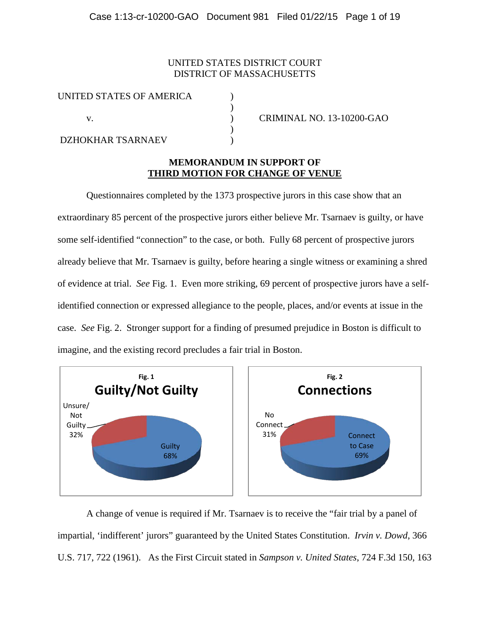## UNITED STATES DISTRICT COURT DISTRICT OF MASSACHUSETTS

)

 $\lambda$ 

| UNITED STATES OF AMERICA |  |
|--------------------------|--|
|                          |  |
|                          |  |
| <b>DZHOKHAR TSARNAEV</b> |  |

v. ) CRIMINAL NO. 13-10200-GAO

### **MEMORANDUM IN SUPPORT OF THIRD MOTION FOR CHANGE OF VENUE**

Questionnaires completed by the 1373 prospective jurors in this case show that an extraordinary 85 percent of the prospective jurors either believe Mr. Tsarnaev is guilty, or have some self-identified "connection" to the case, or both. Fully 68 percent of prospective jurors already believe that Mr. Tsarnaev is guilty, before hearing a single witness or examining a shred of evidence at trial. *See* Fig. 1. Even more striking, 69 percent of prospective jurors have a selfidentified connection or expressed allegiance to the people, places, and/or events at issue in the case. *See* Fig. 2. Stronger support for a finding of presumed prejudice in Boston is difficult to imagine, and the existing record precludes a fair trial in Boston.



A change of venue is required if Mr. Tsarnaev is to receive the "fair trial by a panel of impartial, 'indifferent' jurors" guaranteed by the United States Constitution. *Irvin v. Dowd*, 366 U.S. 717, 722 (1961). As the First Circuit stated in *Sampson v. United States*, 724 F.3d 150, 163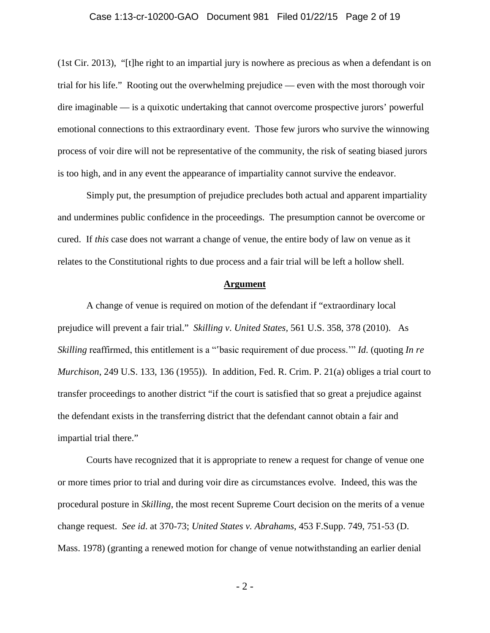#### Case 1:13-cr-10200-GAO Document 981 Filed 01/22/15 Page 2 of 19

(1st Cir. 2013), "[t]he right to an impartial jury is nowhere as precious as when a defendant is on trial for his life." Rooting out the overwhelming prejudice — even with the most thorough voir dire imaginable — is a quixotic undertaking that cannot overcome prospective jurors' powerful emotional connections to this extraordinary event. Those few jurors who survive the winnowing process of voir dire will not be representative of the community, the risk of seating biased jurors is too high, and in any event the appearance of impartiality cannot survive the endeavor.

Simply put, the presumption of prejudice precludes both actual and apparent impartiality and undermines public confidence in the proceedings. The presumption cannot be overcome or cured. If *this* case does not warrant a change of venue, the entire body of law on venue as it relates to the Constitutional rights to due process and a fair trial will be left a hollow shell.

#### **Argument**

A change of venue is required on motion of the defendant if "extraordinary local prejudice will prevent a fair trial." *Skilling v*. *United States,* 561 U.S. 358, 378 (2010). As *Skilling* reaffirmed, this entitlement is a "'basic requirement of due process.'" *Id*. (quoting *In re Murchison*, 249 U.S. 133, 136 (1955)). In addition, Fed. R. Crim. P. 21(a) obliges a trial court to transfer proceedings to another district "if the court is satisfied that so great a prejudice against the defendant exists in the transferring district that the defendant cannot obtain a fair and impartial trial there."

Courts have recognized that it is appropriate to renew a request for change of venue one or more times prior to trial and during voir dire as circumstances evolve. Indeed, this was the procedural posture in *Skilling*, the most recent Supreme Court decision on the merits of a venue change request. *See id*. at 370-73; *United States v. Abrahams*, 453 F.Supp. 749, 751-53 (D. Mass. 1978) (granting a renewed motion for change of venue notwithstanding an earlier denial

- 2 -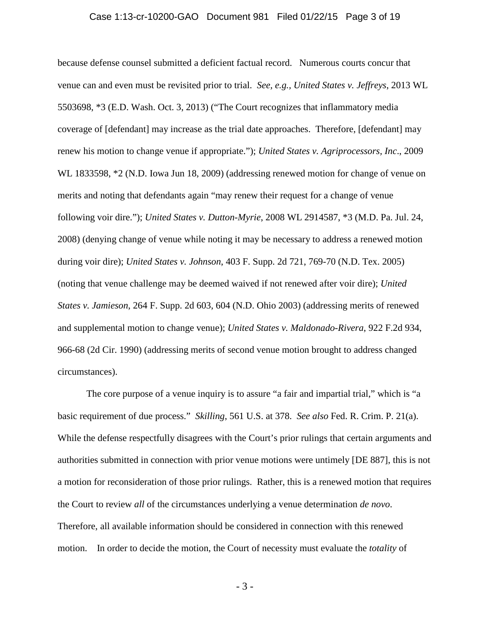#### Case 1:13-cr-10200-GAO Document 981 Filed 01/22/15 Page 3 of 19

because defense counsel submitted a deficient factual record. Numerous courts concur that venue can and even must be revisited prior to trial. *See, e.g., United States v. Jeffreys*, 2013 WL 5503698, \*3 (E.D. Wash. Oct. 3, 2013) ("The Court recognizes that inflammatory media coverage of [defendant] may increase as the trial date approaches. Therefore, [defendant] may renew his motion to change venue if appropriate."); *United States v. Agriprocessors, Inc*., 2009 WL 1833598, \*2 (N.D. Iowa Jun 18, 2009) (addressing renewed motion for change of venue on merits and noting that defendants again "may renew their request for a change of venue following voir dire."); *United States v. Dutton-Myrie*, 2008 WL 2914587, \*3 (M.D. Pa. Jul. 24, 2008) (denying change of venue while noting it may be necessary to address a renewed motion during voir dire); *United States v. Johnson*, 403 F. Supp. 2d 721, 769-70 (N.D. Tex. 2005) (noting that venue challenge may be deemed waived if not renewed after voir dire); *United States v. Jamieson*, 264 F. Supp. 2d 603, 604 (N.D. Ohio 2003) (addressing merits of renewed and supplemental motion to change venue); *United States v. Maldonado-Rivera*, 922 F.2d 934, 966-68 (2d Cir. 1990) (addressing merits of second venue motion brought to address changed circumstances).

The core purpose of a venue inquiry is to assure "a fair and impartial trial," which is "a basic requirement of due process." *Skilling*, 561 U.S. at 378. *See also* Fed. R. Crim. P. 21(a). While the defense respectfully disagrees with the Court's prior rulings that certain arguments and authorities submitted in connection with prior venue motions were untimely [DE 887], this is not a motion for reconsideration of those prior rulings. Rather, this is a renewed motion that requires the Court to review *all* of the circumstances underlying a venue determination *de novo*. Therefore, all available information should be considered in connection with this renewed motion. In order to decide the motion, the Court of necessity must evaluate the *totality* of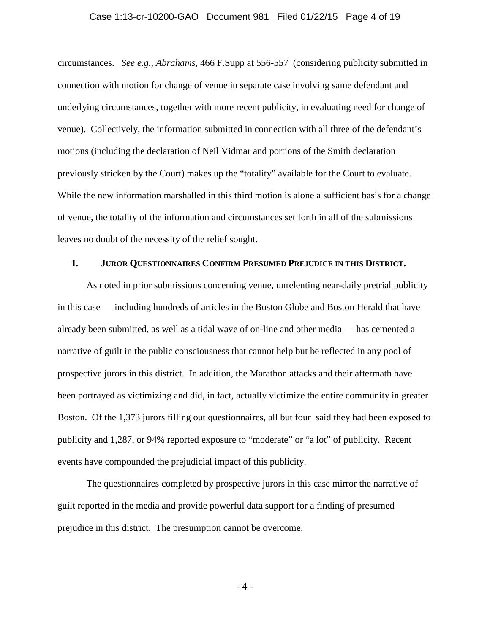#### Case 1:13-cr-10200-GAO Document 981 Filed 01/22/15 Page 4 of 19

circumstances. *See e.g.*, *Abrahams*, 466 F.Supp at 556-557 (considering publicity submitted in connection with motion for change of venue in separate case involving same defendant and underlying circumstances, together with more recent publicity, in evaluating need for change of venue). Collectively, the information submitted in connection with all three of the defendant's motions (including the declaration of Neil Vidmar and portions of the Smith declaration previously stricken by the Court) makes up the "totality" available for the Court to evaluate. While the new information marshalled in this third motion is alone a sufficient basis for a change of venue, the totality of the information and circumstances set forth in all of the submissions leaves no doubt of the necessity of the relief sought.

### **I. JUROR QUESTIONNAIRES CONFIRM PRESUMED PREJUDICE IN THIS DISTRICT.**

As noted in prior submissions concerning venue, unrelenting near-daily pretrial publicity in this case — including hundreds of articles in the Boston Globe and Boston Herald that have already been submitted, as well as a tidal wave of on-line and other media — has cemented a narrative of guilt in the public consciousness that cannot help but be reflected in any pool of prospective jurors in this district. In addition, the Marathon attacks and their aftermath have been portrayed as victimizing and did, in fact, actually victimize the entire community in greater Boston. Of the 1,373 jurors filling out questionnaires, all but four said they had been exposed to publicity and 1,287, or 94% reported exposure to "moderate" or "a lot" of publicity. Recent events have compounded the prejudicial impact of this publicity.

The questionnaires completed by prospective jurors in this case mirror the narrative of guilt reported in the media and provide powerful data support for a finding of presumed prejudice in this district. The presumption cannot be overcome.

- 4 -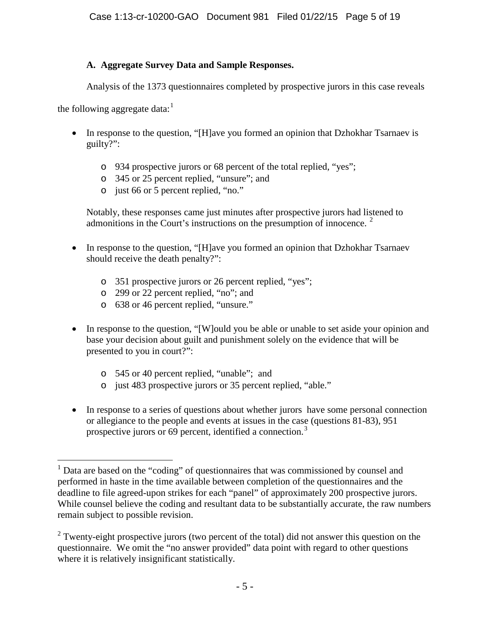# **A. Aggregate Survey Data and Sample Responses.**

Analysis of the 1373 questionnaires completed by prospective jurors in this case reveals

the following aggregate data: $^1$  $^1$ 

- In response to the question, "[H]ave you formed an opinion that Dzhokhar Tsarnaev is guilty?":
	- o 934 prospective jurors or 68 percent of the total replied, "yes";
	- o 345 or 25 percent replied, "unsure"; and
	- o just 66 or 5 percent replied, "no."

Notably, these responses came just minutes after prospective jurors had listened to admonitions in the Court's instructions on the presumption of innocence.  $2$ 

- In response to the question, "[H]ave you formed an opinion that Dzhokhar Tsarnaev should receive the death penalty?":
	- o 351 prospective jurors or 26 percent replied, "yes";
	- o 299 or 22 percent replied, "no"; and
	- o 638 or 46 percent replied, "unsure."
- In response to the question, "[W]ould you be able or unable to set aside your opinion and base your decision about guilt and punishment solely on the evidence that will be presented to you in court?":
	- o 545 or 40 percent replied, "unable"; and
	- o just 483 prospective jurors or 35 percent replied, "able."
- In response to a series of questions about whether jurors have some personal connection or allegiance to the people and events at issues in the case (questions 81-83), 951 prospective jurors or 69 percent, identified a connection.<sup>[3](#page-4-2)</sup>

<span id="page-4-2"></span><span id="page-4-0"></span> $1$  Data are based on the "coding" of questionnaires that was commissioned by counsel and performed in haste in the time available between completion of the questionnaires and the deadline to file agreed-upon strikes for each "panel" of approximately 200 prospective jurors. While counsel believe the coding and resultant data to be substantially accurate, the raw numbers remain subject to possible revision.  $\overline{a}$ 

<span id="page-4-1"></span> $2$  Twenty-eight prospective jurors (two percent of the total) did not answer this question on the questionnaire. We omit the "no answer provided" data point with regard to other questions where it is relatively insignificant statistically.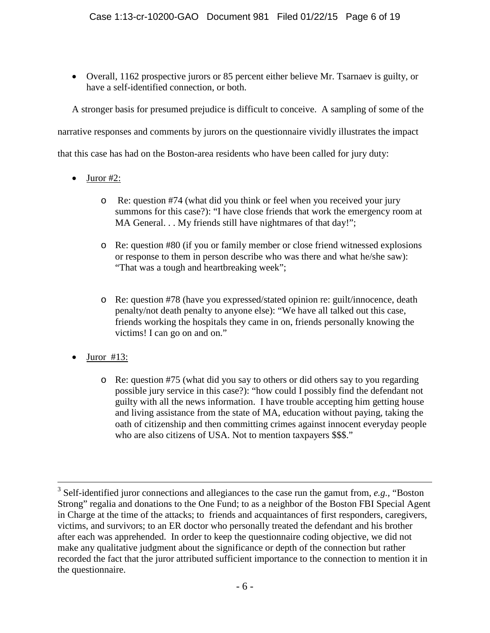• Overall, 1162 prospective jurors or 85 percent either believe Mr. Tsarnaev is guilty, or have a self-identified connection, or both.

A stronger basis for presumed prejudice is difficult to conceive. A sampling of some of the

narrative responses and comments by jurors on the questionnaire vividly illustrates the impact

that this case has had on the Boston-area residents who have been called for jury duty:

- Juror #2:
	- o Re: question #74 (what did you think or feel when you received your jury summons for this case?): "I have close friends that work the emergency room at MA General. . . My friends still have nightmares of that day!";
	- o Re: question #80 (if you or family member or close friend witnessed explosions or response to them in person describe who was there and what he/she saw): "That was a tough and heartbreaking week";
	- o Re: question #78 (have you expressed/stated opinion re: guilt/innocence, death penalty/not death penalty to anyone else): "We have all talked out this case, friends working the hospitals they came in on, friends personally knowing the victims! I can go on and on."
- Juror  $#13$ :

 $\overline{a}$ 

o Re: question #75 (what did you say to others or did others say to you regarding possible jury service in this case?): "how could I possibly find the defendant not guilty with all the news information. I have trouble accepting him getting house and living assistance from the state of MA, education without paying, taking the oath of citizenship and then committing crimes against innocent everyday people who are also citizens of USA. Not to mention taxpayers \$\$\$."

<sup>3</sup> Self-identified juror connections and allegiances to the case run the gamut from, *e.g.,* "Boston Strong" regalia and donations to the One Fund; to as a neighbor of the Boston FBI Special Agent in Charge at the time of the attacks; to friends and acquaintances of first responders, caregivers, victims, and survivors; to an ER doctor who personally treated the defendant and his brother after each was apprehended. In order to keep the questionnaire coding objective, we did not make any qualitative judgment about the significance or depth of the connection but rather recorded the fact that the juror attributed sufficient importance to the connection to mention it in the questionnaire.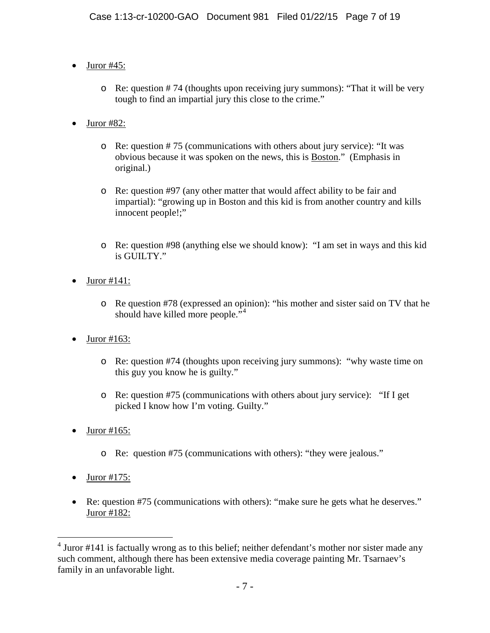- Juror #45:
	- o Re: question # 74 (thoughts upon receiving jury summons): "That it will be very tough to find an impartial jury this close to the crime."
- Juror #82:
	- o Re: question # 75 (communications with others about jury service): "It was obvious because it was spoken on the news, this is Boston." (Emphasis in original.)
	- o Re: question #97 (any other matter that would affect ability to be fair and impartial): "growing up in Boston and this kid is from another country and kills innocent people!;"
	- o Re: question #98 (anything else we should know): "I am set in ways and this kid is GUILTY."
- Juror #141:
	- o Re question #78 (expressed an opinion): "his mother and sister said on TV that he should have killed more people."<sup>[4](#page-6-0)</sup>
- Juror #163:
	- o Re: question #74 (thoughts upon receiving jury summons): "why waste time on this guy you know he is guilty."
	- o Re: question #75 (communications with others about jury service): "If I get picked I know how I'm voting. Guilty."
- Juror #165:
	- o Re: question #75 (communications with others): "they were jealous."
- $\bullet$  Juror #175:
- Re: question #75 (communications with others): "make sure he gets what he deserves." Juror #182:

<span id="page-6-0"></span> $4$  Juror #141 is factually wrong as to this belief; neither defendant's mother nor sister made any such comment, although there has been extensive media coverage painting Mr. Tsarnaev's family in an unfavorable light.  $\overline{a}$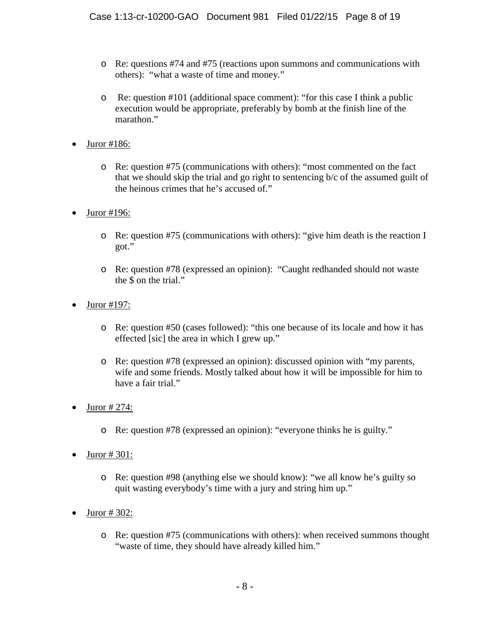- o Re: questions #74 and #75 (reactions upon summons and communications with others): "what a waste of time and money."
- o Re: question #101 (additional space comment): "for this case I think a public execution would be appropriate, preferably by bomb at the finish line of the marathon."
- Juror #186:
	- o Re: question #75 (communications with others): "most commented on the fact that we should skip the trial and go right to sentencing b/c of the assumed guilt of the heinous crimes that he's accused of."
- Juror #196:
	- o Re: question #75 (communications with others): "give him death is the reaction I got."
	- o Re: question #78 (expressed an opinion): "Caught redhanded should not waste the \$ on the trial."
- Juror #197:
	- o Re: question #50 (cases followed): "this one because of its locale and how it has effected [sic] the area in which I grew up."
	- o Re: question #78 (expressed an opinion): discussed opinion with "my parents, wife and some friends. Mostly talked about how it will be impossible for him to have a fair trial."
- Juror # 274:
	- o Re: question #78 (expressed an opinion): "everyone thinks he is guilty."
- Juror  $\# 301$ :
	- o Re: question #98 (anything else we should know): "we all know he's guilty so quit wasting everybody's time with a jury and string him up."
- Juror # 302:
	- o Re: question #75 (communications with others): when received summons thought "waste of time, they should have already killed him."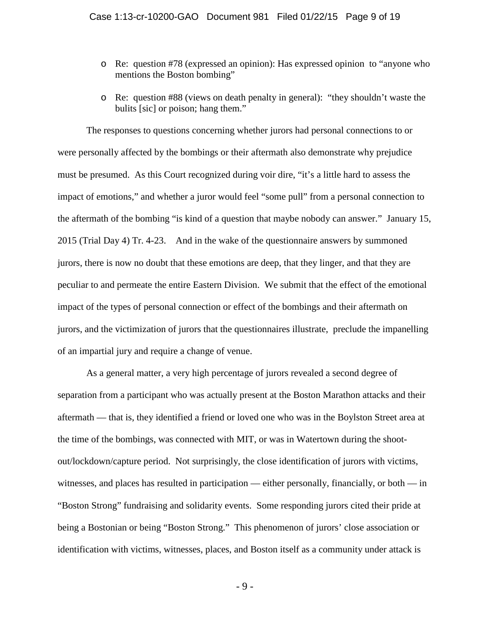- o Re: question #78 (expressed an opinion): Has expressed opinion to "anyone who mentions the Boston bombing"
- o Re: question #88 (views on death penalty in general): "they shouldn't waste the bulits [sic] or poison; hang them."

The responses to questions concerning whether jurors had personal connections to or were personally affected by the bombings or their aftermath also demonstrate why prejudice must be presumed. As this Court recognized during voir dire, "it's a little hard to assess the impact of emotions," and whether a juror would feel "some pull" from a personal connection to the aftermath of the bombing "is kind of a question that maybe nobody can answer." January 15, 2015 (Trial Day 4) Tr. 4-23. And in the wake of the questionnaire answers by summoned jurors, there is now no doubt that these emotions are deep, that they linger, and that they are peculiar to and permeate the entire Eastern Division. We submit that the effect of the emotional impact of the types of personal connection or effect of the bombings and their aftermath on jurors, and the victimization of jurors that the questionnaires illustrate, preclude the impanelling of an impartial jury and require a change of venue.

As a general matter, a very high percentage of jurors revealed a second degree of separation from a participant who was actually present at the Boston Marathon attacks and their aftermath — that is, they identified a friend or loved one who was in the Boylston Street area at the time of the bombings, was connected with MIT, or was in Watertown during the shootout/lockdown/capture period. Not surprisingly, the close identification of jurors with victims, witnesses, and places has resulted in participation — either personally, financially, or both — in "Boston Strong" fundraising and solidarity events. Some responding jurors cited their pride at being a Bostonian or being "Boston Strong." This phenomenon of jurors' close association or identification with victims, witnesses, places, and Boston itself as a community under attack is

- 9 -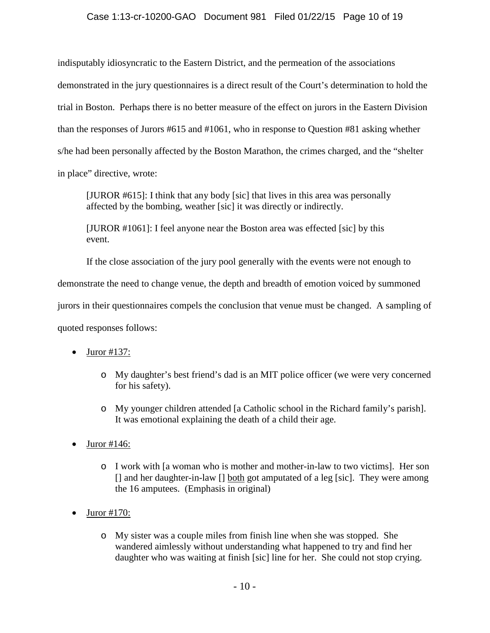### Case 1:13-cr-10200-GAO Document 981 Filed 01/22/15 Page 10 of 19

indisputably idiosyncratic to the Eastern District, and the permeation of the associations demonstrated in the jury questionnaires is a direct result of the Court's determination to hold the trial in Boston. Perhaps there is no better measure of the effect on jurors in the Eastern Division than the responses of Jurors #615 and #1061, who in response to Question #81 asking whether s/he had been personally affected by the Boston Marathon, the crimes charged, and the "shelter in place" directive, wrote:

[JUROR #615]: I think that any body [sic] that lives in this area was personally affected by the bombing, weather [sic] it was directly or indirectly.

[JUROR #1061]: I feel anyone near the Boston area was effected [sic] by this event.

If the close association of the jury pool generally with the events were not enough to

demonstrate the need to change venue, the depth and breadth of emotion voiced by summoned

jurors in their questionnaires compels the conclusion that venue must be changed. A sampling of

quoted responses follows:

- $\bullet$  Juror #137:
	- o My daughter's best friend's dad is an MIT police officer (we were very concerned for his safety).
	- o My younger children attended [a Catholic school in the Richard family's parish]. It was emotional explaining the death of a child their age.
- $\bullet$  Juror #146:
	- o I work with [a woman who is mother and mother-in-law to two victims]. Her son [] and her daughter-in-law [] both got amputated of a leg [sic]. They were among the 16 amputees. (Emphasis in original)
- $\bullet$  Juror #170:
	- o My sister was a couple miles from finish line when she was stopped. She wandered aimlessly without understanding what happened to try and find her daughter who was waiting at finish [sic] line for her. She could not stop crying.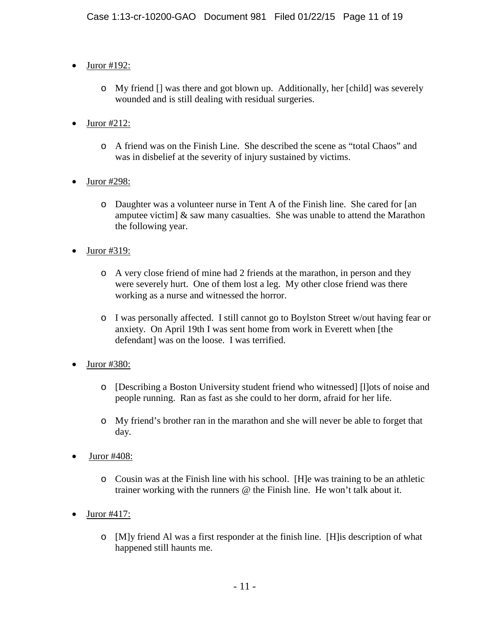- $\bullet$  Juror #192:
	- o My friend [] was there and got blown up. Additionally, her [child] was severely wounded and is still dealing with residual surgeries.
- Juror #212:
	- o A friend was on the Finish Line. She described the scene as "total Chaos" and was in disbelief at the severity of injury sustained by victims.
- Juror #298:
	- o Daughter was a volunteer nurse in Tent A of the Finish line. She cared for [an amputee victim]  $\&$  saw many casualties. She was unable to attend the Marathon the following year.
- Juror #319:
	- o A very close friend of mine had 2 friends at the marathon, in person and they were severely hurt. One of them lost a leg. My other close friend was there working as a nurse and witnessed the horror.
	- o I was personally affected. I still cannot go to Boylston Street w/out having fear or anxiety. On April 19th I was sent home from work in Everett when [the defendantl was on the loose. I was terrified.
- Juror #380:
	- o [Describing a Boston University student friend who witnessed] [l]ots of noise and people running. Ran as fast as she could to her dorm, afraid for her life.
	- o My friend's brother ran in the marathon and she will never be able to forget that day.
- Juror #408:
	- o Cousin was at the Finish line with his school. [H]e was training to be an athletic trainer working with the runners @ the Finish line. He won't talk about it.
- $\bullet$  Juror #417:
	- o [M]y friend Al was a first responder at the finish line. [H]is description of what happened still haunts me.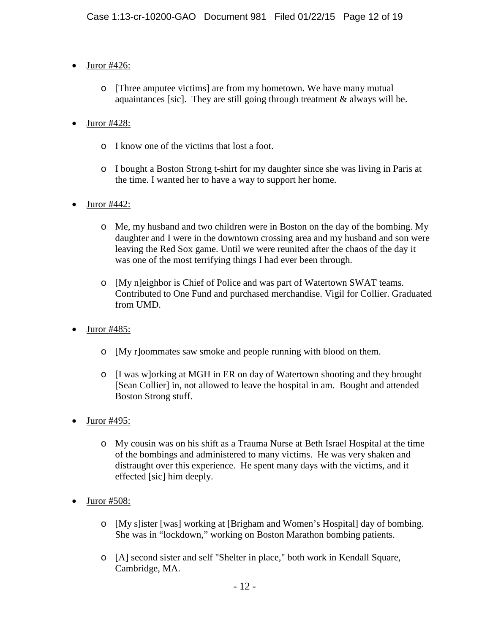- $\bullet$  Juror #426:
	- o [Three amputee victims] are from my hometown. We have many mutual aquaintances [sic]. They are still going through treatment  $\&$  always will be.
- Juror #428:
	- o I know one of the victims that lost a foot.
	- o I bought a Boston Strong t-shirt for my daughter since she was living in Paris at the time. I wanted her to have a way to support her home.
- Juror #442:
	- o Me, my husband and two children were in Boston on the day of the bombing. My daughter and I were in the downtown crossing area and my husband and son were leaving the Red Sox game. Until we were reunited after the chaos of the day it was one of the most terrifying things I had ever been through.
	- o [My n]eighbor is Chief of Police and was part of Watertown SWAT teams. Contributed to One Fund and purchased merchandise. Vigil for Collier. Graduated from UMD.
- $\bullet$  Juror #485:
	- o [My r]oommates saw smoke and people running with blood on them.
	- o [I was w]orking at MGH in ER on day of Watertown shooting and they brought [Sean Collier] in, not allowed to leave the hospital in am. Bought and attended Boston Strong stuff.
- Juror #495:
	- o My cousin was on his shift as a Trauma Nurse at Beth Israel Hospital at the time of the bombings and administered to many victims. He was very shaken and distraught over this experience. He spent many days with the victims, and it effected [sic] him deeply.
- $\bullet$  Juror #508:
	- o [My s]ister [was] working at [Brigham and Women's Hospital] day of bombing. She was in "lockdown," working on Boston Marathon bombing patients.
	- o [A] second sister and self "Shelter in place," both work in Kendall Square, Cambridge, MA.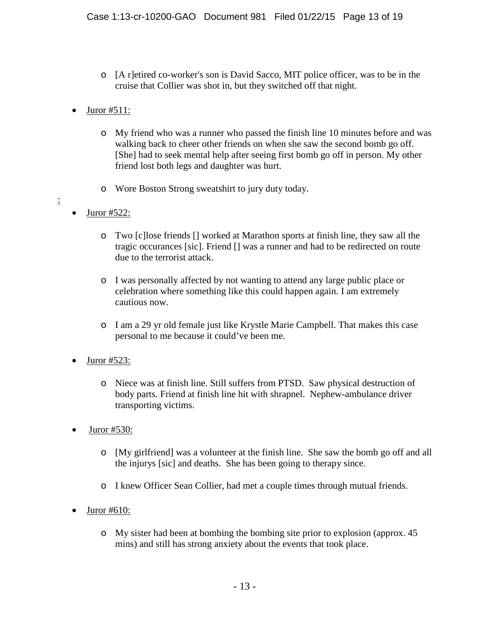- o [A r]etired co-worker's son is David Sacco, MIT police officer, was to be in the cruise that Collier was shot in, but they switched off that night.
- Juror #511:
	- o My friend who was a runner who passed the finish line 10 minutes before and was walking back to cheer other friends on when she saw the second bomb go off. [She] had to seek mental help after seeing first bomb go off in person. My other friend lost both legs and daughter was hurt.
	- o Wore Boston Strong sweatshirt to jury duty today.
- Juror  $#522$ :

:

- o Two [c]lose friends [] worked at Marathon sports at finish line, they saw all the tragic occurances [sic]. Friend [] was a runner and had to be redirected on route due to the terrorist attack.
- o I was personally affected by not wanting to attend any large public place or celebration where something like this could happen again. I am extremely cautious now.
- o I am a 29 yr old female just like Krystle Marie Campbell. That makes this case personal to me because it could've been me.
- Juror #523:
	- o Niece was at finish line. Still suffers from PTSD. Saw physical destruction of body parts. Friend at finish line hit with shrapnel. Nephew-ambulance driver transporting victims.
- $\bullet$  Juror #530:
	- o [My girlfriend] was a volunteer at the finish line. She saw the bomb go off and all the injurys [sic] and deaths. She has been going to therapy since.
	- o I knew Officer Sean Collier, had met a couple times through mutual friends.
- Juror #610:
	- o My sister had been at bombing the bombing site prior to explosion (approx. 45 mins) and still has strong anxiety about the events that took place.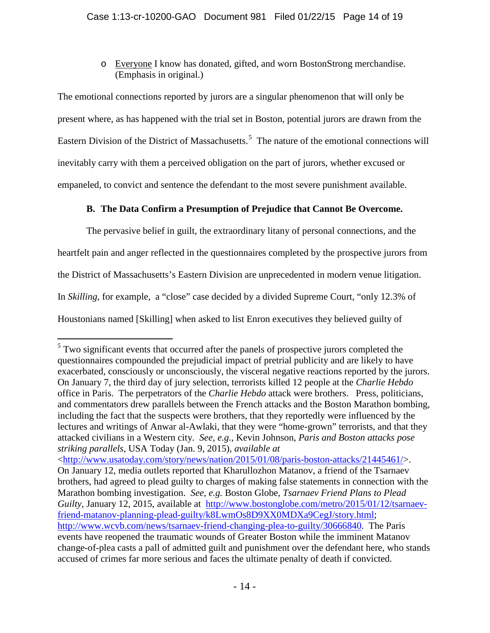o Everyone I know has donated, gifted, and worn BostonStrong merchandise. (Emphasis in original.)

The emotional connections reported by jurors are a singular phenomenon that will only be present where, as has happened with the trial set in Boston, potential jurors are drawn from the Eastern Division of the District of Massachusetts.<sup>[5](#page-13-0)</sup> The nature of the emotional connections will inevitably carry with them a perceived obligation on the part of jurors, whether excused or empaneled, to convict and sentence the defendant to the most severe punishment available.

# **B. The Data Confirm a Presumption of Prejudice that Cannot Be Overcome.**

The pervasive belief in guilt, the extraordinary litany of personal connections, and the heartfelt pain and anger reflected in the questionnaires completed by the prospective jurors from the District of Massachusetts's Eastern Division are unprecedented in modern venue litigation. In *Skilling*, for example, a "close" case decided by a divided Supreme Court, "only 12.3% of Houstonians named [Skilling] when asked to list Enron executives they believed guilty of

<span id="page-13-0"></span> $5$  Two significant events that occurred after the panels of prospective jurors completed the questionnaires compounded the prejudicial impact of pretrial publicity and are likely to have exacerbated, consciously or unconsciously, the visceral negative reactions reported by the jurors. On January 7, the third day of jury selection, terrorists killed 12 people at the *Charlie Hebdo* office in Paris. The perpetrators of the *Charlie Hebdo* attack were brothers. Press, politicians, and commentators drew parallels between the French attacks and the Boston Marathon bombing, including the fact that the suspects were brothers, that they reportedly were influenced by the lectures and writings of Anwar al-Awlaki, that they were "home-grown" terrorists, and that they attacked civilians in a Western city. *See*, *e.g.,* Kevin Johnson, *Paris and Boston attacks pose striking parallels*, USA Today (Jan. 9, 2015), *available at* [<http://www.usatoday.com/story/news/nation/2015/01/08/paris-boston-attacks/21445461/>](http://www.usatoday.com/story/news/nation/2015/01/08/paris-boston-attacks/21445461/). On January 12, media outlets reported that Kharullozhon Matanov, a friend of the Tsarnaev brothers, had agreed to plead guilty to charges of making false statements in connection with the Marathon bombing investigation. *See, e.g.* Boston Globe, *Tsarnaev Friend Plans to Plead Guilty,* January 12, 2015, available at [http://www.bostonglobe.com/metro/2015/01/12/tsarnaev](http://www.bostonglobe.com/metro/2015/01/12/tsarnaev-friend-matanov-planning-plead-guilty/k8LwmOs8D9XX0MDXa9CegJ/story.html)[friend-matanov-planning-plead-guilty/k8LwmOs8D9XX0MDXa9CegJ/story.html;](http://www.bostonglobe.com/metro/2015/01/12/tsarnaev-friend-matanov-planning-plead-guilty/k8LwmOs8D9XX0MDXa9CegJ/story.html) [http://www.wcvb.com/news/tsarnaev-friend-changing-plea-to-guilty/30666840.](http://www.wcvb.com/news/tsarnaev-friend-changing-plea-to-guilty/30666840) The Paris events have reopened the traumatic wounds of Greater Boston while the imminent Matanov change-of-plea casts a pall of admitted guilt and punishment over the defendant here, who stands  $\overline{a}$ 

accused of crimes far more serious and faces the ultimate penalty of death if convicted.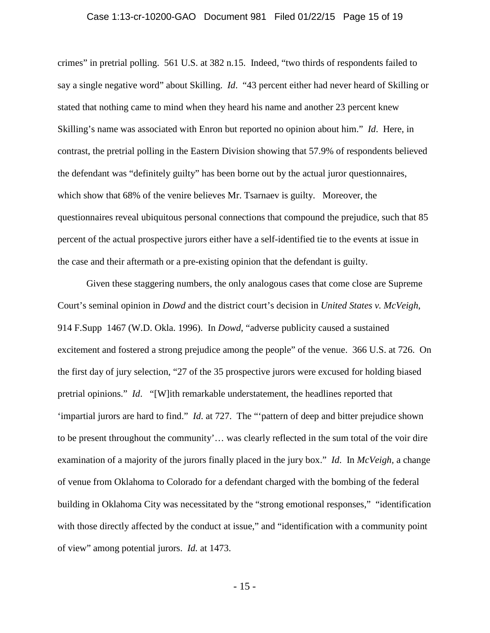#### Case 1:13-cr-10200-GAO Document 981 Filed 01/22/15 Page 15 of 19

crimes" in pretrial polling. 561 U.S. at 382 n.15. Indeed, "two thirds of respondents failed to say a single negative word" about Skilling. *Id*. "43 percent either had never heard of Skilling or stated that nothing came to mind when they heard his name and another 23 percent knew Skilling's name was associated with Enron but reported no opinion about him." *Id*. Here, in contrast, the pretrial polling in the Eastern Division showing that 57.9% of respondents believed the defendant was "definitely guilty" has been borne out by the actual juror questionnaires, which show that 68% of the venire believes Mr. Tsarnaev is guilty. Moreover, the questionnaires reveal ubiquitous personal connections that compound the prejudice, such that 85 percent of the actual prospective jurors either have a self-identified tie to the events at issue in the case and their aftermath or a pre-existing opinion that the defendant is guilty.

Given these staggering numbers, the only analogous cases that come close are Supreme Court's seminal opinion in *Dowd* and the district court's decision in *United States v. McVeigh*, 914 F.Supp 1467 (W.D. Okla. 1996). In *Dowd*, "adverse publicity caused a sustained excitement and fostered a strong prejudice among the people" of the venue. 366 U.S. at 726. On the first day of jury selection, "27 of the 35 prospective jurors were excused for holding biased pretrial opinions." *Id*. "[W]ith remarkable understatement, the headlines reported that 'impartial jurors are hard to find." *Id*. at 727. The "'pattern of deep and bitter prejudice shown to be present throughout the community'… was clearly reflected in the sum total of the voir dire examination of a majority of the jurors finally placed in the jury box." *Id*. In *McVeigh,* a change of venue from Oklahoma to Colorado for a defendant charged with the bombing of the federal building in Oklahoma City was necessitated by the "strong emotional responses," "identification with those directly affected by the conduct at issue," and "identification with a community point of view" among potential jurors. *Id.* at 1473.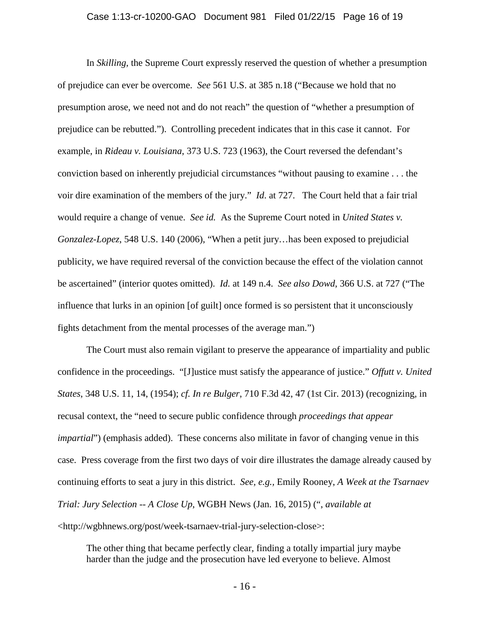#### Case 1:13-cr-10200-GAO Document 981 Filed 01/22/15 Page 16 of 19

In *Skilling*, the Supreme Court expressly reserved the question of whether a presumption of prejudice can ever be overcome. *See* 561 U.S. at 385 n.18 ("Because we hold that no presumption arose, we need not and do not reach" the question of "whether a presumption of prejudice can be rebutted."). Controlling precedent indicates that in this case it cannot. For example, in *Rideau v. Louisiana*, 373 U.S. 723 (1963), the Court reversed the defendant's conviction based on inherently prejudicial circumstances "without pausing to examine . . . the voir dire examination of the members of the jury." *Id*. at 727. The Court held that a fair trial would require a change of venue. *See id.* As the Supreme Court noted in *United States v. Gonzalez-Lopez*, 548 U.S. 140 (2006), "When a petit jury…has been exposed to prejudicial publicity, we have required reversal of the conviction because the effect of the violation cannot be ascertained" (interior quotes omitted). *Id.* at 149 n.4. *See also Dowd*, 366 U.S. at 727 ("The influence that lurks in an opinion [of guilt] once formed is so persistent that it unconsciously fights detachment from the mental processes of the average man.")

The Court must also remain vigilant to preserve the appearance of impartiality and public confidence in the proceedings. "[J]ustice must satisfy the appearance of justice." *Offutt v. United States*, 348 U.S. 11, 14, (1954); *cf. In re Bulger*, 710 F.3d 42, 47 (1st Cir. 2013) (recognizing, in recusal context, the "need to secure public confidence through *proceedings that appear impartial*") (emphasis added). These concerns also militate in favor of changing venue in this case. Press coverage from the first two days of voir dire illustrates the damage already caused by continuing efforts to seat a jury in this district. *See, e.g.,* Emily Rooney, *A Week at the Tsarnaev Trial: Jury Selection -- A Close Up*, WGBH News (Jan. 16, 2015) (", *available at* <http://wgbhnews.org/post/week-tsarnaev-trial-jury-selection-close>:

The other thing that became perfectly clear, finding a totally impartial jury maybe harder than the judge and the prosecution have led everyone to believe. Almost

- 16 -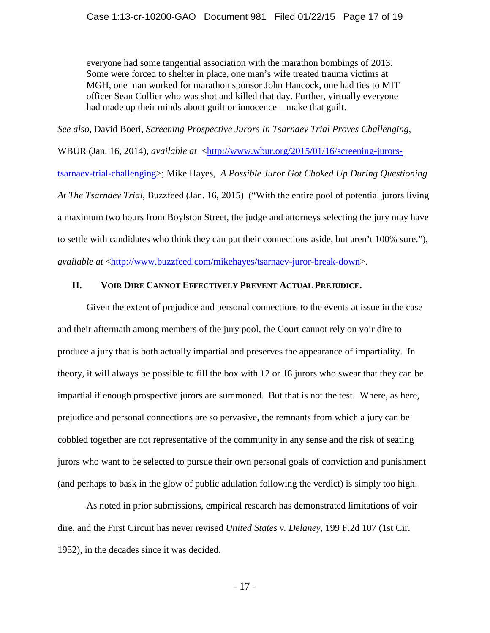everyone had some tangential association with the marathon bombings of 2013. Some were forced to shelter in place, one man's wife treated trauma victims at MGH, one man worked for marathon sponsor John Hancock, one had ties to MIT officer Sean Collier who was shot and killed that day. Further, virtually everyone had made up their minds about guilt or innocence – make that guilt.

*See also,* David Boeri, *Screening Prospective Jurors In Tsarnaev Trial Proves Challenging*, WBUR (Jan. 16, 2014), *available at* [<http://www.wbur.org/2015/01/16/screening-jurors](http://www.wbur.org/2015/01/16/screening-jurors-tsarnaev-trial-challenging)[tsarnaev-trial-challenging>](http://www.wbur.org/2015/01/16/screening-jurors-tsarnaev-trial-challenging); Mike Hayes, *A Possible Juror Got Choked Up During Questioning At The Tsarnaev Trial*, Buzzfeed (Jan. 16, 2015) ("With the entire pool of potential jurors living a maximum two hours from Boylston Street, the judge and attorneys selecting the jury may have to settle with candidates who think they can put their connections aside, but aren't 100% sure."), *available at* [<http://www.buzzfeed.com/mikehayes/tsarnaev-juror-break-down>](http://www.buzzfeed.com/mikehayes/tsarnaev-juror-break-down).

### **II. VOIR DIRE CANNOT EFFECTIVELY PREVENT ACTUAL PREJUDICE.**

Given the extent of prejudice and personal connections to the events at issue in the case and their aftermath among members of the jury pool, the Court cannot rely on voir dire to produce a jury that is both actually impartial and preserves the appearance of impartiality. In theory, it will always be possible to fill the box with 12 or 18 jurors who swear that they can be impartial if enough prospective jurors are summoned. But that is not the test. Where, as here, prejudice and personal connections are so pervasive, the remnants from which a jury can be cobbled together are not representative of the community in any sense and the risk of seating jurors who want to be selected to pursue their own personal goals of conviction and punishment (and perhaps to bask in the glow of public adulation following the verdict) is simply too high.

As noted in prior submissions, empirical research has demonstrated limitations of voir dire, and the First Circuit has never revised *United States v. Delaney*, 199 F.2d 107 (1st Cir. 1952), in the decades since it was decided.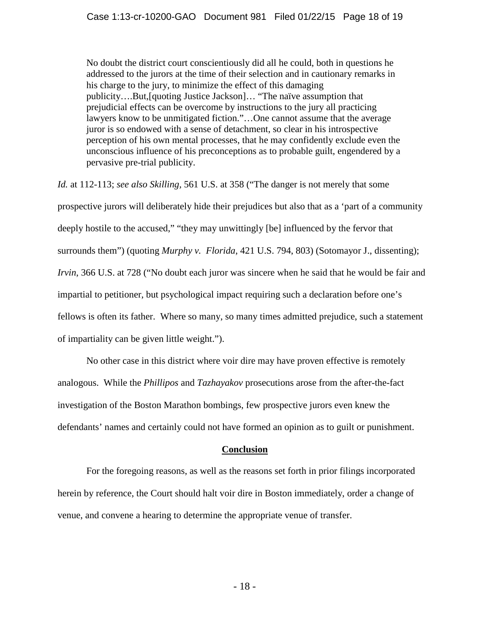No doubt the district court conscientiously did all he could, both in questions he addressed to the jurors at the time of their selection and in cautionary remarks in his charge to the jury, to minimize the effect of this damaging publicity….But,[quoting Justice Jackson]… "The naïve assumption that prejudicial effects can be overcome by instructions to the jury all practicing lawyers know to be unmitigated fiction."…One cannot assume that the average juror is so endowed with a sense of detachment, so clear in his introspective perception of his own mental processes, that he may confidently exclude even the unconscious influence of his preconceptions as to probable guilt, engendered by a pervasive pre-trial publicity.

*Id.* at 112-113; *see also Skilling,* 561 U.S. at 358 ("The danger is not merely that some prospective jurors will deliberately hide their prejudices but also that as a 'part of a community deeply hostile to the accused," "they may unwittingly [be] influenced by the fervor that surrounds them") (quoting *Murphy v. Florida*, 421 U.S. 794, 803) (Sotomayor J., dissenting); *Irvin*, 366 U.S. at 728 ("No doubt each juror was sincere when he said that he would be fair and impartial to petitioner, but psychological impact requiring such a declaration before one's fellows is often its father. Where so many, so many times admitted prejudice, such a statement of impartiality can be given little weight.").

No other case in this district where voir dire may have proven effective is remotely analogous. While the *Phillipos* and *Tazhayakov* prosecutions arose from the after-the-fact investigation of the Boston Marathon bombings, few prospective jurors even knew the defendants' names and certainly could not have formed an opinion as to guilt or punishment.

### **Conclusion**

For the foregoing reasons, as well as the reasons set forth in prior filings incorporated herein by reference, the Court should halt voir dire in Boston immediately, order a change of venue, and convene a hearing to determine the appropriate venue of transfer.